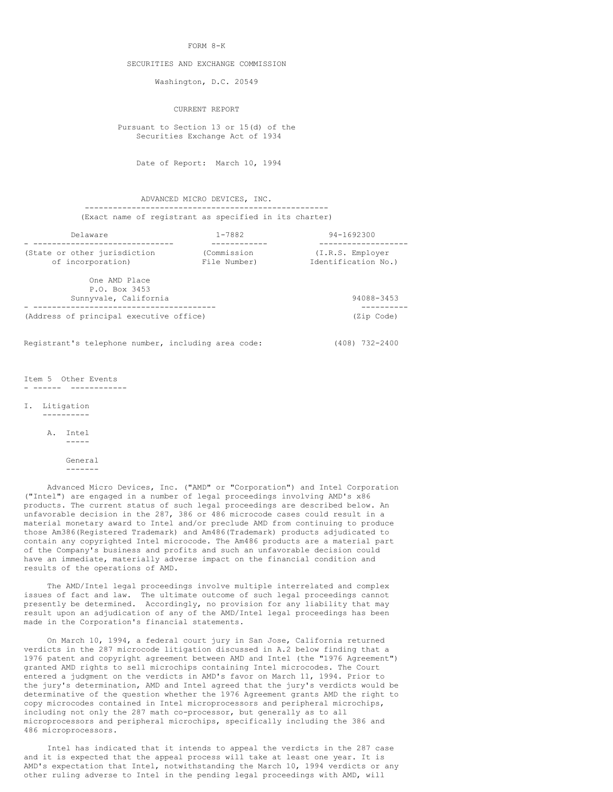#### FORM 8-K

#### SECURITIES AND EXCHANGE COMMISSION

Washington, D.C. 20549

CURRENT REPORT

 Pursuant to Section 13 or 15(d) of the Securities Exchange Act of 1934

Date of Report: March 10, 1994

 ADVANCED MICRO DEVICES, INC. ---------------------------------------------------- (Exact name of registrant as specified in its charter)

| Delaware                                                | $1 - 7882$                  | 94-1692300                              |
|---------------------------------------------------------|-----------------------------|-----------------------------------------|
| (State or other jurisdiction<br>of incorporation)       | (Commission<br>File Number) | (I.R.S. Employer<br>Identification No.) |
| One AMD Place<br>P.O. Box 3453<br>Sunnyvale, California |                             | 94088-3453                              |
| (Address of principal executive office)                 |                             | (Zip Code)                              |
| Registrant's telephone number, including area code:     | (408) 732-2400              |                                         |

Item 5 Other Events - ------ ------------

I. Litigation

----------

 A. Intel -----

> General -------

 Advanced Micro Devices, Inc. ("AMD" or "Corporation") and Intel Corporation ("Intel") are engaged in a number of legal proceedings involving AMD's x86 products. The current status of such legal proceedings are described below. An unfavorable decision in the 287, 386 or 486 microcode cases could result in a material monetary award to Intel and/or preclude AMD from continuing to produce those Am386(Registered Trademark) and Am486(Trademark) products adjudicated to contain any copyrighted Intel microcode. The Am486 products are a material part of the Company's business and profits and such an unfavorable decision could have an immediate, materially adverse impact on the financial condition and results of the operations of AMD.

 The AMD/Intel legal proceedings involve multiple interrelated and complex issues of fact and law. The ultimate outcome of such legal proceedings cannot presently be determined. Accordingly, no provision for any liability that may result upon an adjudication of any of the AMD/Intel legal proceedings has been made in the Corporation's financial statements.

 On March 10, 1994, a federal court jury in San Jose, California returned verdicts in the 287 microcode litigation discussed in A.2 below finding that a 1976 patent and copyright agreement between AMD and Intel (the "1976 Agreement") granted AMD rights to sell microchips containing Intel microcodes. The Court entered a judgment on the verdicts in AMD's favor on March 11, 1994. Prior to the jury's determination, AMD and Intel agreed that the jury's verdicts would be determinative of the question whether the 1976 Agreement grants AMD the right to copy microcodes contained in Intel microprocessors and peripheral microchips, including not only the 287 math co-processor, but generally as to all microprocessors and peripheral microchips, specifically including the 386 and 486 microprocessors.

 Intel has indicated that it intends to appeal the verdicts in the 287 case and it is expected that the appeal process will take at least one year. It is AMD's expectation that Intel, notwithstanding the March 10, 1994 verdicts or any other ruling adverse to Intel in the pending legal proceedings with AMD, will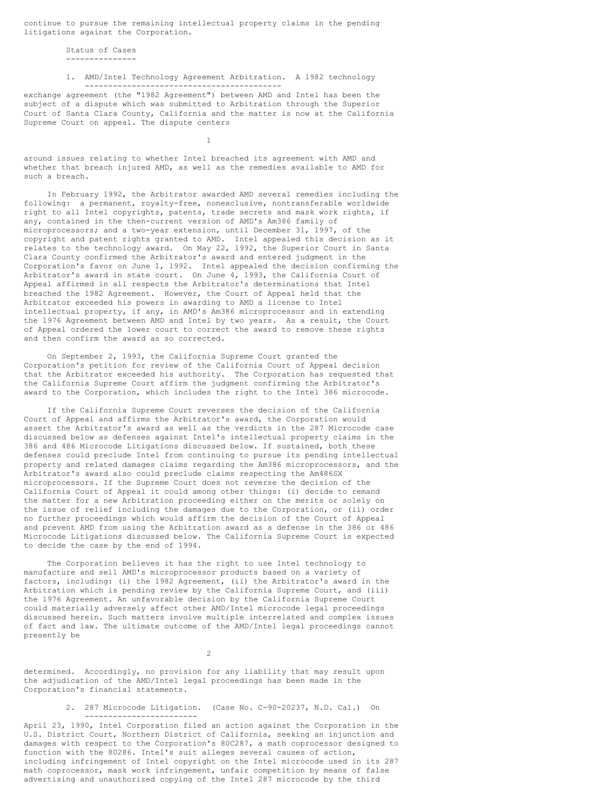continue to pursue the remaining intellectual property claims in the pending litigations against the Corporation.

 Status of Cases ---------------

1

## 1. AMD/Intel Technology Agreement Arbitration. A 1982 technology ------------------------------------------

exchange agreement (the "1982 Agreement") between AMD and Intel has been the subject of a dispute which was submitted to Arbitration through the Superior Court of Santa Clara County, California and the matter is now at the California Supreme Court on appeal. The dispute centers

around issues relating to whether Intel breached its agreement with AMD and whether that breach injured AMD, as well as the remedies available to AMD for such a breach.

 In February 1992, the Arbitrator awarded AMD several remedies including the following: a permanent, royalty-free, nonexclusive, nontransferable worldwide right to all Intel copyrights, patents, trade secrets and mask work rights, if any, contained in the then-current version of AMD's Am386 family of microprocessors; and a two-year extension, until December 31, 1997, of the copyright and patent rights granted to AMD. Intel appealed this decision as it relates to the technology award. On May 22, 1992, the Superior Court in Santa Clara County confirmed the Arbitrator's award and entered judgment in the Corporation's favor on June 1, 1992. Intel appealed the decision confirming the Arbitrator's award in state court. On June 4, 1993, the California Court of Appeal affirmed in all respects the Arbitrator's determinations that Intel breached the 1982 Agreement. However, the Court of Appeal held that the Arbitrator exceeded his powers in awarding to AMD a license to Intel intellectual property, if any, in AMD's Am386 microprocessor and in extending the 1976 Agreement between AMD and Intel by two years. As a result, the Court of Appeal ordered the lower court to correct the award to remove these rights and then confirm the award as so corrected.

 On September 2, 1993, the California Supreme Court granted the Corporation's petition for review of the California Court of Appeal decision that the Arbitrator exceeded his authority. The Corporation has requested that the California Supreme Court affirm the judgment confirming the Arbitrator's award to the Corporation, which includes the right to the Intel 386 microcode.

 If the California Supreme Court reverses the decision of the California Court of Appeal and affirms the Arbitrator's award, the Corporation would assert the Arbitrator's award as well as the verdicts in the 287 Microcode case discussed below as defenses against Intel's intellectual property claims in the 386 and 486 Microcode Litigations discussed below. If sustained, both these defenses could preclude Intel from continuing to pursue its pending intellectual property and related damages claims regarding the Am386 microprocessors, and the Arbitrator's award also could preclude claims respecting the Am486SX microprocessors. If the Supreme Court does not reverse the decision of the California Court of Appeal it could among other things: (i) decide to remand the matter for a new Arbitration proceeding either on the merits or solely on the issue of relief including the damages due to the Corporation, or (ii) order no further proceedings which would affirm the decision of the Court of Appeal and prevent AMD from using the Arbitration award as a defense in the 386 or 486 Microcode Litigations discussed below. The California Supreme Court is expected to decide the case by the end of 1994.

 The Corporation believes it has the right to use Intel technology to manufacture and sell AMD's microprocessor products based on a variety of factors, including: (i) the 1982 Agreement, (ii) the Arbitrator's award in the Arbitration which is pending review by the California Supreme Court, and (iii) the 1976 Agreement. An unfavorable decision by the California Supreme Court could materially adversely affect other AMD/Intel microcode legal proceedings discussed herein. Such matters involve multiple interrelated and complex issues of fact and law. The ultimate outcome of the AMD/Intel legal proceedings cannot presently be

2

determined. Accordingly, no provision for any liability that may result upon the adjudication of the AMD/Intel legal proceedings has been made in the Corporation's financial statements.

> 2. 287 Microcode Litigation. (Case No. C-90-20237, N.D. Cal.) On ------------------------

April 23, 1990, Intel Corporation filed an action against the Corporation in the U.S. District Court, Northern District of California, seeking an injunction and damages with respect to the Corporation's 80C287, a math coprocessor designed to function with the 80286. Intel's suit alleges several causes of action, including infringement of Intel copyright on the Intel microcode used in its 287 math coprocessor, mask work infringement, unfair competition by means of false advertising and unauthorized copying of the Intel 287 microcode by the third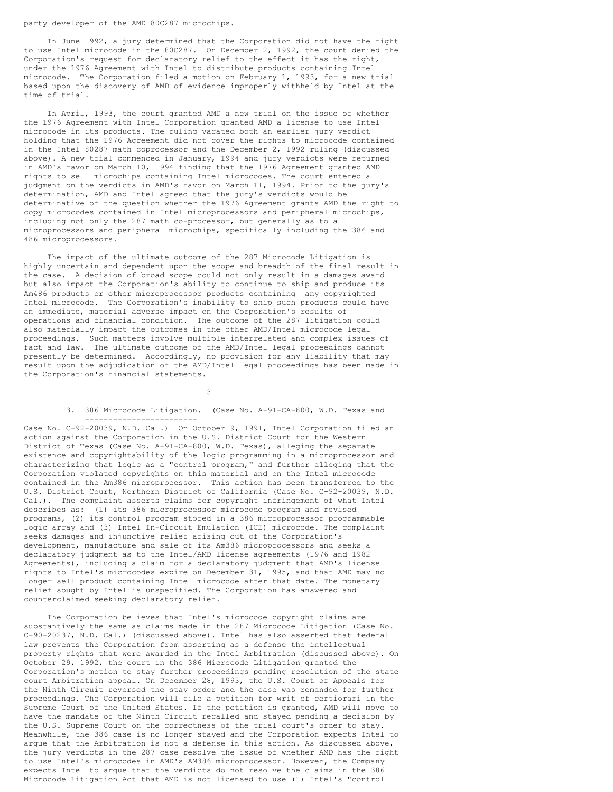party developer of the AMD 80C287 microchips.

 In June 1992, a jury determined that the Corporation did not have the right to use Intel microcode in the 80C287. On December 2, 1992, the court denied the Corporation's request for declaratory relief to the effect it has the right, under the 1976 Agreement with Intel to distribute products containing Intel microcode. The Corporation filed a motion on February 1, 1993, for a new trial based upon the discovery of AMD of evidence improperly withheld by Intel at the time of trial.

 In April, 1993, the court granted AMD a new trial on the issue of whether the 1976 Agreement with Intel Corporation granted AMD a license to use Intel microcode in its products. The ruling vacated both an earlier jury verdict holding that the 1976 Agreement did not cover the rights to microcode contained in the Intel 80287 math coprocessor and the December 2, 1992 ruling (discussed above). A new trial commenced in January, 1994 and jury verdicts were returned in AMD's favor on March 10, 1994 finding that the 1976 Agreement granted AMD rights to sell microchips containing Intel microcodes. The court entered a judgment on the verdicts in AMD's favor on March 11, 1994. Prior to the jury's determination, AMD and Intel agreed that the jury's verdicts would be determinative of the question whether the 1976 Agreement grants AMD the right to copy microcodes contained in Intel microprocessors and peripheral microchips, including not only the 287 math co-processor, but generally as to all microprocessors and peripheral microchips, specifically including the 386 and 486 microprocessors.

 The impact of the ultimate outcome of the 287 Microcode Litigation is highly uncertain and dependent upon the scope and breadth of the final result in the case. A decision of broad scope could not only result in a damages award but also impact the Corporation's ability to continue to ship and produce its Am486 products or other microprocessor products containing any copyrighted Intel microcode. The Corporation's inability to ship such products could have an immediate, material adverse impact on the Corporation's results of operations and financial condition. The outcome of the 287 litigation could also materially impact the outcomes in the other AMD/Intel microcode legal proceedings. Such matters involve multiple interrelated and complex issues of fact and law. The ultimate outcome of the AMD/Intel legal proceedings cannot presently be determined. Accordingly, no provision for any liability that may result upon the adjudication of the AMD/Intel legal proceedings has been made in the Corporation's financial statements.

 $3<sup>2</sup>$ 

#### 3. 386 Microcode Litigation. (Case No. A-91-CA-800, W.D. Texas and ------------------------

Case No. C-92-20039, N.D. Cal.) On October 9, 1991, Intel Corporation filed an action against the Corporation in the U.S. District Court for the Western District of Texas (Case No. A-91-CA-800, W.D. Texas), alleging the separate existence and copyrightability of the logic programming in a microprocessor and characterizing that logic as a "control program," and further alleging that the Corporation violated copyrights on this material and on the Intel microcode contained in the Am386 microprocessor. This action has been transferred to the U.S. District Court, Northern District of California (Case No. C-92-20039, N.D. Cal.). The complaint asserts claims for copyright infringement of what Intel describes as: (1) its 386 microprocessor microcode program and revised programs, (2) its control program stored in a 386 microprocessor programmable logic array and (3) Intel In-Circuit Emulation (ICE) microcode. The complaint seeks damages and injunctive relief arising out of the Corporation's development, manufacture and sale of its Am386 microprocessors and seeks a declaratory judgment as to the Intel/AMD license agreements (1976 and 1982 Agreements), including a claim for a declaratory judgment that AMD's license rights to Intel's microcodes expire on December 31, 1995, and that AMD may no longer sell product containing Intel microcode after that date. The monetary relief sought by Intel is unspecified. The Corporation has answered and counterclaimed seeking declaratory relief.

 The Corporation believes that Intel's microcode copyright claims are substantively the same as claims made in the 287 Microcode Litigation (Case No. C-90-20237, N.D. Cal.) (discussed above). Intel has also asserted that federal law prevents the Corporation from asserting as a defense the intellectual property rights that were awarded in the Intel Arbitration (discussed above). On October 29, 1992, the court in the 386 Microcode Litigation granted the Corporation's motion to stay further proceedings pending resolution of the state court Arbitration appeal. On December 28, 1993, the U.S. Court of Appeals for the Ninth Circuit reversed the stay order and the case was remanded for further proceedings. The Corporation will file a petition for writ of certiorari in the Supreme Court of the United States. If the petition is granted, AMD will move to have the mandate of the Ninth Circuit recalled and stayed pending a decision by the U.S. Supreme Court on the correctness of the trial court's order to stay. Meanwhile, the 386 case is no longer stayed and the Corporation expects Intel to argue that the Arbitration is not a defense in this action. As discussed above, the jury verdicts in the 287 case resolve the issue of whether AMD has the right to use Intel's microcodes in AMD's AM386 microprocessor. However, the Company expects Intel to argue that the verdicts do not resolve the claims in the 386 Microcode Litigation Act that AMD is not licensed to use (1) Intel's "control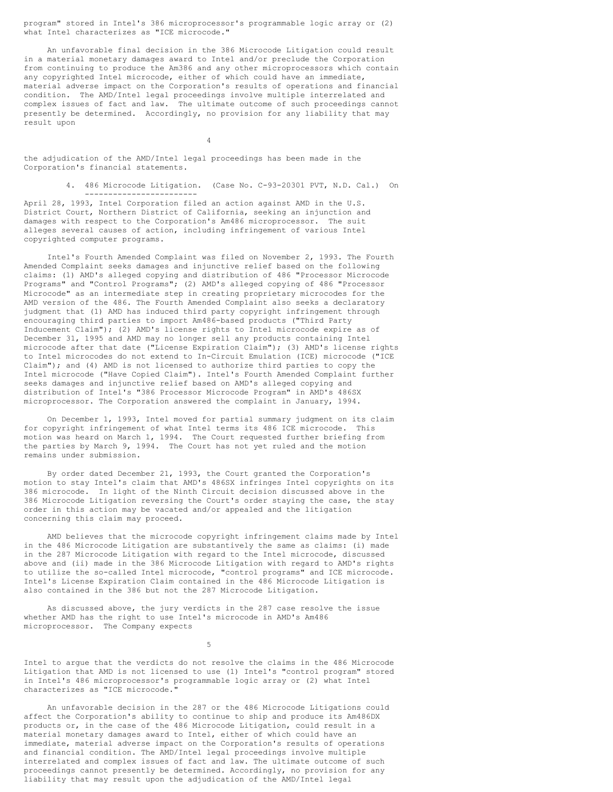program" stored in Intel's 386 microprocessor's programmable logic array or (2) what Intel characterizes as "ICE microcode."

 An unfavorable final decision in the 386 Microcode Litigation could result in a material monetary damages award to Intel and/or preclude the Corporation from continuing to produce the Am386 and any other microprocessors which contain any copyrighted Intel microcode, either of which could have an immediate, material adverse impact on the Corporation's results of operations and financial condition. The AMD/Intel legal proceedings involve multiple interrelated and complex issues of fact and law. The ultimate outcome of such proceedings cannot presently be determined. Accordingly, no provision for any liability that may result upon

the adjudication of the AMD/Intel legal proceedings has been made in the Corporation's financial statements.

4

 4. 486 Microcode Litigation. (Case No. C-93-20301 PVT, N.D. Cal.) On ------------------------

April 28, 1993, Intel Corporation filed an action against AMD in the U.S. District Court, Northern District of California, seeking an injunction and damages with respect to the Corporation's Am486 microprocessor. The suit alleges several causes of action, including infringement of various Intel copyrighted computer programs.

 Intel's Fourth Amended Complaint was filed on November 2, 1993. The Fourth Amended Complaint seeks damages and injunctive relief based on the following claims: (1) AMD's alleged copying and distribution of 486 "Processor Microcode Programs" and "Control Programs"; (2) AMD's alleged copying of 486 "Processor Microcode" as an intermediate step in creating proprietary microcodes for the AMD version of the 486. The Fourth Amended Complaint also seeks a declaratory judgment that (1) AMD has induced third party copyright infringement through encouraging third parties to import Am486-based products ("Third Party Inducement Claim"); (2) AMD's license rights to Intel microcode expire as of December 31, 1995 and AMD may no longer sell any products containing Intel microcode after that date ("License Expiration Claim"); (3) AMD's license rights to Intel microcodes do not extend to In-Circuit Emulation (ICE) microcode ("ICE Claim"); and (4) AMD is not licensed to authorize third parties to copy the Intel microcode ("Have Copied Claim"). Intel's Fourth Amended Complaint further seeks damages and injunctive relief based on AMD's alleged copying and distribution of Intel's "386 Processor Microcode Program" in AMD's 486SX microprocessor. The Corporation answered the complaint in January, 1994.

 On December 1, 1993, Intel moved for partial summary judgment on its claim for copyright infringement of what Intel terms its 486 ICE microcode. This motion was heard on March 1, 1994. The Court requested further briefing from the parties by March 9, 1994. The Court has not yet ruled and the motion remains under submission.

 By order dated December 21, 1993, the Court granted the Corporation's motion to stay Intel's claim that AMD's 486SX infringes Intel copyrights on its 386 microcode. In light of the Ninth Circuit decision discussed above in the 386 Microcode Litigation reversing the Court's order staying the case, the stay order in this action may be vacated and/or appealed and the litigation concerning this claim may proceed.

 AMD believes that the microcode copyright infringement claims made by Intel in the 486 Microcode Litigation are substantively the same as claims: (i) made in the 287 Microcode Litigation with regard to the Intel microcode, discussed above and (ii) made in the 386 Microcode Litigation with regard to AMD's rights to utilize the so-called Intel microcode, "control programs" and ICE microcode. Intel's License Expiration Claim contained in the 486 Microcode Litigation is also contained in the 386 but not the 287 Microcode Litigation.

 As discussed above, the jury verdicts in the 287 case resolve the issue whether AMD has the right to use Intel's microcode in AMD's Am486 microprocessor. The Company expects

 $5<sub>5</sub>$ 

Intel to argue that the verdicts do not resolve the claims in the 486 Microcode Litigation that AMD is not licensed to use (1) Intel's "control program" stored in Intel's 486 microprocessor's programmable logic array or (2) what Intel characterizes as "ICE microcode."

 An unfavorable decision in the 287 or the 486 Microcode Litigations could affect the Corporation's ability to continue to ship and produce its Am486DX products or, in the case of the 486 Microcode Litigation, could result in a material monetary damages award to Intel, either of which could have an immediate, material adverse impact on the Corporation's results of operations and financial condition. The AMD/Intel legal proceedings involve multiple interrelated and complex issues of fact and law. The ultimate outcome of such proceedings cannot presently be determined. Accordingly, no provision for any liability that may result upon the adjudication of the AMD/Intel legal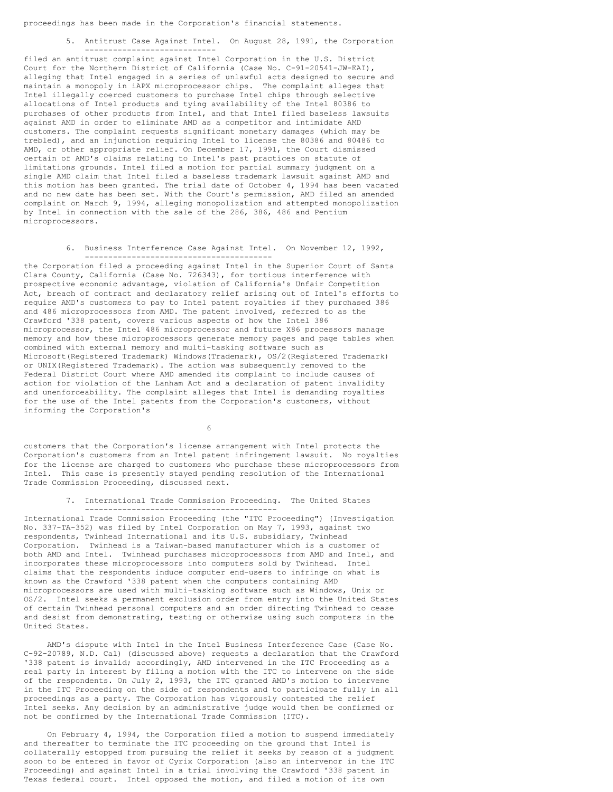proceedings has been made in the Corporation's financial statements.

 5. Antitrust Case Against Intel. On August 28, 1991, the Corporation ----------------------------

filed an antitrust complaint against Intel Corporation in the U.S. District Court for the Northern District of California (Case No. C-91-20541-JW-EAI), alleging that Intel engaged in a series of unlawful acts designed to secure and maintain a monopoly in iAPX microprocessor chips. The complaint alleges that Intel illegally coerced customers to purchase Intel chips through selective allocations of Intel products and tying availability of the Intel 80386 to purchases of other products from Intel, and that Intel filed baseless lawsuits against AMD in order to eliminate AMD as a competitor and intimidate AMD customers. The complaint requests significant monetary damages (which may be trebled), and an injunction requiring Intel to license the 80386 and 80486 to AMD, or other appropriate relief. On December 17, 1991, the Court dismissed certain of AMD's claims relating to Intel's past practices on statute of limitations grounds. Intel filed a motion for partial summary judgment on a single AMD claim that Intel filed a baseless trademark lawsuit against AMD and this motion has been granted. The trial date of October 4, 1994 has been vacated and no new date has been set. With the Court's permission, AMD filed an amended complaint on March 9, 1994, alleging monopolization and attempted monopolization by Intel in connection with the sale of the 286, 386, 486 and Pentium microprocessors.

> 6. Business Interference Case Against Intel. On November 12, 1992, ----------------------------------------

the Corporation filed a proceeding against Intel in the Superior Court of Santa Clara County, California (Case No. 726343), for tortious interference with prospective economic advantage, violation of California's Unfair Competition Act, breach of contract and declaratory relief arising out of Intel's efforts to require AMD's customers to pay to Intel patent royalties if they purchased 386 and 486 microprocessors from AMD. The patent involved, referred to as the Crawford '338 patent, covers various aspects of how the Intel 386 microprocessor, the Intel 486 microprocessor and future X86 processors manage memory and how these microprocessors generate memory pages and page tables when combined with external memory and multi-tasking software such as Microsoft(Registered Trademark) Windows(Trademark), OS/2(Registered Trademark) or UNIX(Registered Trademark). The action was subsequently removed to the Federal District Court where AMD amended its complaint to include causes of action for violation of the Lanham Act and a declaration of patent invalidity and unenforceability. The complaint alleges that Intel is demanding royalties for the use of the Intel patents from the Corporation's customers, without informing the Corporation's

 $\sim$  6

customers that the Corporation's license arrangement with Intel protects the Corporation's customers from an Intel patent infringement lawsuit. No royalties for the license are charged to customers who purchase these microprocessors from Intel. This case is presently stayed pending resolution of the International Trade Commission Proceeding, discussed next.

> 7. International Trade Commission Proceeding. The United States -----------------------------------------

International Trade Commission Proceeding (the "ITC Proceeding") (Investigation No. 337-TA-352) was filed by Intel Corporation on May 7, 1993, against two respondents, Twinhead International and its U.S. subsidiary, Twinhead Corporation. Twinhead is a Taiwan-based manufacturer which is a customer of both AMD and Intel. Twinhead purchases microprocessors from AMD and Intel, and incorporates these microprocessors into computers sold by Twinhead. Intel claims that the respondents induce computer end-users to infringe on what is known as the Crawford '338 patent when the computers containing AMD microprocessors are used with multi-tasking software such as Windows, Unix or OS/2. Intel seeks a permanent exclusion order from entry into the United States of certain Twinhead personal computers and an order directing Twinhead to cease and desist from demonstrating, testing or otherwise using such computers in the United States.

 AMD's dispute with Intel in the Intel Business Interference Case (Case No. C-92-20789, N.D. Cal) (discussed above) requests a declaration that the Crawford '338 patent is invalid; accordingly, AMD intervened in the ITC Proceeding as a real party in interest by filing a motion with the ITC to intervene on the side of the respondents. On July 2, 1993, the ITC granted AMD's motion to intervene in the ITC Proceeding on the side of respondents and to participate fully in all proceedings as a party. The Corporation has vigorously contested the relief Intel seeks. Any decision by an administrative judge would then be confirmed or not be confirmed by the International Trade Commission (ITC).

 On February 4, 1994, the Corporation filed a motion to suspend immediately and thereafter to terminate the ITC proceeding on the ground that Intel is collaterally estopped from pursuing the relief it seeks by reason of a judgment soon to be entered in favor of Cyrix Corporation (also an intervenor in the ITC Proceeding) and against Intel in a trial involving the Crawford '338 patent in Texas federal court. Intel opposed the motion, and filed a motion of its own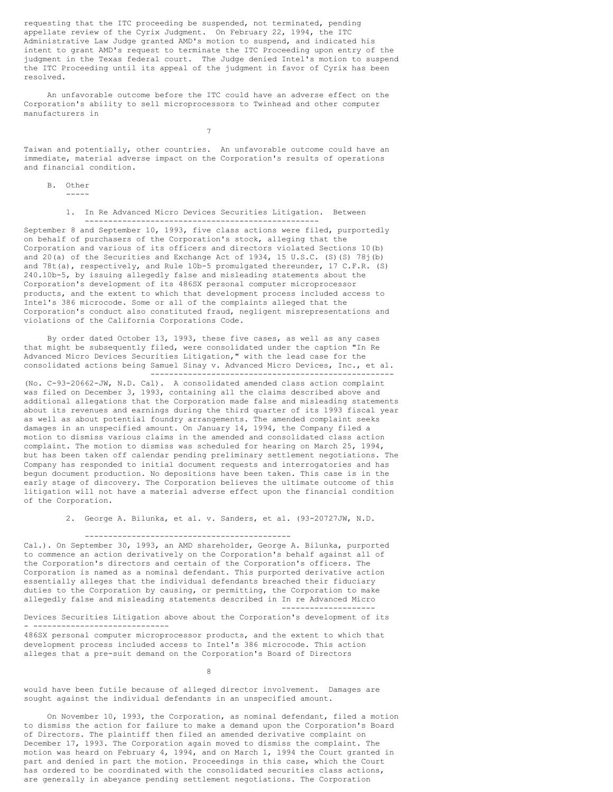requesting that the ITC proceeding be suspended, not terminated, pending appellate review of the Cyrix Judgment. On February 22, 1994, the ITC Administrative Law Judge granted AMD's motion to suspend, and indicated his intent to grant AMD's request to terminate the ITC Proceeding upon entry of the judgment in the Texas federal court. The Judge denied Intel's motion to suspend the ITC Proceeding until its appeal of the judgment in favor of Cyrix has been resolved.

 An unfavorable outcome before the ITC could have an adverse effect on the Corporation's ability to sell microprocessors to Twinhead and other computer manufacturers in

7

Taiwan and potentially, other countries. An unfavorable outcome could have an immediate, material adverse impact on the Corporation's results of operations and financial condition.

B. Other

-----

- ------------------------------

 1. In Re Advanced Micro Devices Securities Litigation. Between --------------------------------------------------

September 8 and September 10, 1993, five class actions were filed, purportedly on behalf of purchasers of the Corporation's stock, alleging that the Corporation and various of its officers and directors violated Sections 10(b) and 20(a) of the Securities and Exchange Act of 1934, 15 U.S.C. (S)(S) 78j(b) and 78t(a), respectively, and Rule 10b-5 promulgated thereunder, 17 C.F.R. (S) 240.10b-5, by issuing allegedly false and misleading statements about the Corporation's development of its 486SX personal computer microprocessor products, and the extent to which that development process included access to Intel's 386 microcode. Some or all of the complaints alleged that the Corporation's conduct also constituted fraud, negligent misrepresentations and violations of the California Corporations Code.

 By order dated October 13, 1993, these five cases, as well as any cases that might be subsequently filed, were consolidated under the caption "In Re Advanced Micro Devices Securities Litigation," with the lead case for the consolidated actions being Samuel Sinay v. Advanced Micro Devices, Inc., et al. ----------------------------------------------------

(No. C-93-20662-JW, N.D. Cal). A consolidated amended class action complaint was filed on December 3, 1993, containing all the claims described above and additional allegations that the Corporation made false and misleading statements about its revenues and earnings during the third quarter of its 1993 fiscal year as well as about potential foundry arrangements. The amended complaint seeks damages in an unspecified amount. On January 14, 1994, the Company filed a motion to dismiss various claims in the amended and consolidated class action complaint. The motion to dismiss was scheduled for hearing on March 25, 1994, but has been taken off calendar pending preliminary settlement negotiations. The Company has responded to initial document requests and interrogatories and has begun document production. No depositions have been taken. This case is in the early stage of discovery. The Corporation believes the ultimate outcome of this litigation will not have a material adverse effect upon the financial condition of the Corporation.

2. George A. Bilunka, et al. v. Sanders, et al. (93-20727JW, N.D.

## --------------------------------------------

Cal.). On September 30, 1993, an AMD shareholder, George A. Bilunka, purported to commence an action derivatively on the Corporation's behalf against all of the Corporation's directors and certain of the Corporation's officers. The Corporation is named as a nominal defendant. This purported derivative action essentially alleges that the individual defendants breached their fiduciary duties to the Corporation by causing, or permitting, the Corporation to make allegedly false and misleading statements described in In re Advanced Micro --------------------

Devices Securities Litigation above about the Corporation's development of its

486SX personal computer microprocessor products, and the extent to which that development process included access to Intel's 386 microcode. This action alleges that a pre-suit demand on the Corporation's Board of Directors

8 and 2012 and 2013 and 2014 and 2014 and 2014 and 2014 and 2014 and 2014 and 2014 and 2014 and 2014 and 2014

would have been futile because of alleged director involvement. Damages are sought against the individual defendants in an unspecified amount.

 On November 10, 1993, the Corporation, as nominal defendant, filed a motion to dismiss the action for failure to make a demand upon the Corporation's Board of Directors. The plaintiff then filed an amended derivative complaint on December 17, 1993. The Corporation again moved to dismiss the complaint. The motion was heard on February 4, 1994, and on March 1, 1994 the Court granted in part and denied in part the motion. Proceedings in this case, which the Court has ordered to be coordinated with the consolidated securities class actions, are generally in abeyance pending settlement negotiations. The Corporation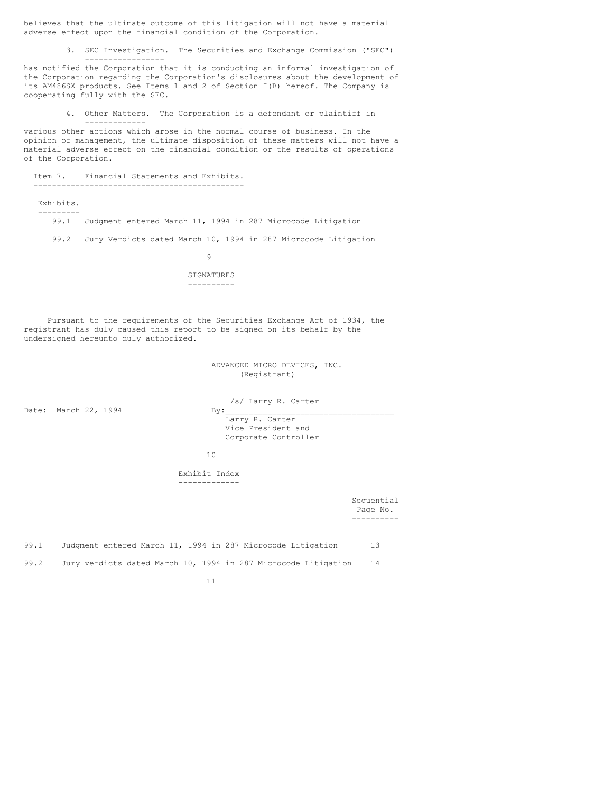believes that the ultimate outcome of this litigation will not have a material adverse effect upon the financial condition of the Corporation.

3. SEC Investigation. The Securities and Exchange Commission ("SEC")

has notified the Corporation that it is conducting an informal investigation of the Corporation regarding the Corporation's disclosures about the development of its AM486SX products. See Items 1 and 2 of Section I(B) hereof. The Company is cooperating fully with the SEC.

4. Other Matters. The Corporation is a defendant or plaintiff in

various other actions which arose in the normal course of business. In the opinion of management, the ultimate disposition of these matters will not have a material adverse effect on the financial condition or the results of operations of the Corporation.

 Item 7. Financial Statements and Exhibits. ---------------------------------------------

-----------------

-------------

 Exhibits. --------- 99.1 Judgment entered March 11, 1994 in 287 Microcode Litigation

99.2 Jury Verdicts dated March 10, 1994 in 287 Microcode Litigation

9

### SIGNATURES ----------

 Pursuant to the requirements of the Securities Exchange Act of 1934, the registrant has duly caused this report to be signed on its behalf by the undersigned hereunto duly authorized.

> ADVANCED MICRO DEVICES, INC. (Registrant)

Date: March 22, 1994

/s/ Larry R. Carter

 Larry R. Carter Vice President and Corporate Controller

10

 Exhibit Index -------------

 Sequential Page No. ----------

| 99.1 | Judgment entered March 11, 1994 in 287 Microcode Litigation    | 13 |
|------|----------------------------------------------------------------|----|
| 99.2 | Jury verdicts dated March 10, 1994 in 287 Microcode Litigation | 14 |

11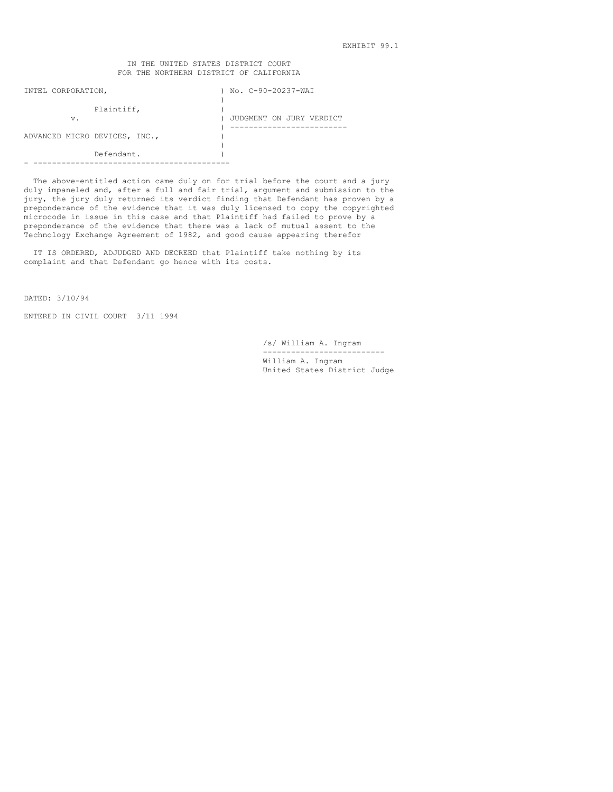EXHIBIT 99.1

## IN THE UNITED STATES DISTRICT COURT FOR THE NORTHERN DISTRICT OF CALIFORNIA

| INTEL CORPORATION, |                               | No. C-90-20237-WAI       |
|--------------------|-------------------------------|--------------------------|
|                    |                               |                          |
|                    | Plaintiff,                    |                          |
| v.                 |                               | JUDGMENT ON JURY VERDICT |
|                    |                               |                          |
|                    | ADVANCED MICRO DEVICES, INC., |                          |
|                    |                               |                          |
|                    | Defendant.                    |                          |
|                    |                               |                          |

 The above-entitled action came duly on for trial before the court and a jury duly impaneled and, after a full and fair trial, argument and submission to the jury, the jury duly returned its verdict finding that Defendant has proven by a preponderance of the evidence that it was duly licensed to copy the copyrighted microcode in issue in this case and that Plaintiff had failed to prove by a preponderance of the evidence that there was a lack of mutual assent to the Technology Exchange Agreement of 1982, and good cause appearing therefor

 IT IS ORDERED, ADJUDGED AND DECREED that Plaintiff take nothing by its complaint and that Defendant go hence with its costs.

DATED: 3/10/94

ENTERED IN CIVIL COURT 3/11 1994

 /s/ William A. Ingram -------------------------- William A. Ingram United States District Judge